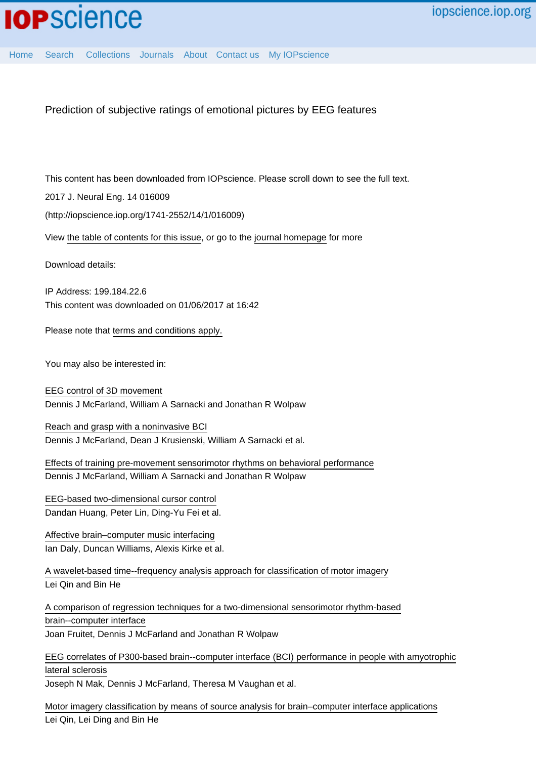[Home](http://iopscience.iop.org/) [Search](http://iopscience.iop.org/search) [Collections](http://iopscience.iop.org/collections) [Journals](http://iopscience.iop.org/journals) [About](http://iopscience.iop.org/page/aboutioppublishing) [Contact us](http://iopscience.iop.org/contact) [My IOPscience](http://iopscience.iop.org/myiopscience)

Prediction of subjective ratings of emotional pictures by EEG features

This content has been downloaded from IOPscience. Please scroll down to see the full text.

2017 J. Neural Eng. 14 016009

(http://iopscience.iop.org/1741-2552/14/1/016009)

View [the table of contents for this issue](http://iopscience.iop.org/1741-2552/14/1), or go to the [journal homepage](http://iopscience.iop.org/1741-2552) for more

Download details:

IP Address: 199.184.22.6 This content was downloaded on 01/06/2017 at 16:42

Please note that [terms and conditions apply.](http://iopscience.iop.org/page/terms)

You may also be interested in:

[EEG control of 3D movement](http://iopscience.iop.org/article/10.1088/1741-2560/7/3/036007) Dennis J McFarland, William A Sarnacki and Jonathan R Wolpaw

[Reach and grasp with a noninvasive BCI](http://iopscience.iop.org/article/10.1088/1741-2560/5/2/001) Dennis J McFarland, Dean J Krusienski, William A Sarnacki et al.

[Effects of training pre-movement sensorimotor rhythms on behavioral performance](http://iopscience.iop.org/article/10.1088/1741-2560/12/6/066021) Dennis J McFarland, William A Sarnacki and Jonathan R Wolpaw

[EEG-based two-dimensional cursor control](http://iopscience.iop.org/article/10.1088/1741-2560/6/4/046005) Dandan Huang, Peter Lin, Ding-Yu Fei et al.

[Affective brain–computer music interfacing](http://iopscience.iop.org/article/10.1088/1741-2560/13/4/046022) Ian Daly, Duncan Williams, Alexis Kirke et al.

[A wavelet-based time--frequency analysis approach for classification of motor imagery](http://iopscience.iop.org/article/10.1088/1741-2560/2/4/001) Lei Qin and Bin He

[A comparison of regression techniques for a two-dimensional sensorimotor rhythm-based](http://iopscience.iop.org/article/10.1088/1741-2560/7/1/016003) [brain--computer interface](http://iopscience.iop.org/article/10.1088/1741-2560/7/1/016003)

Joan Fruitet, Dennis J McFarland and Jonathan R Wolpaw

[EEG correlates of P300-based brain--computer interface \(BCI\) performance in people with amyotrophic](http://iopscience.iop.org/article/10.1088/1741-2560/9/2/026014) [lateral sclerosis](http://iopscience.iop.org/article/10.1088/1741-2560/9/2/026014)

Joseph N Mak, Dennis J McFarland, Theresa M Vaughan et al.

[Motor imagery classification by means of source analysis for brain–computer interface applications](http://iopscience.iop.org/article/10.1088/1741-2560/1/3/002) Lei Qin, Lei Ding and Bin He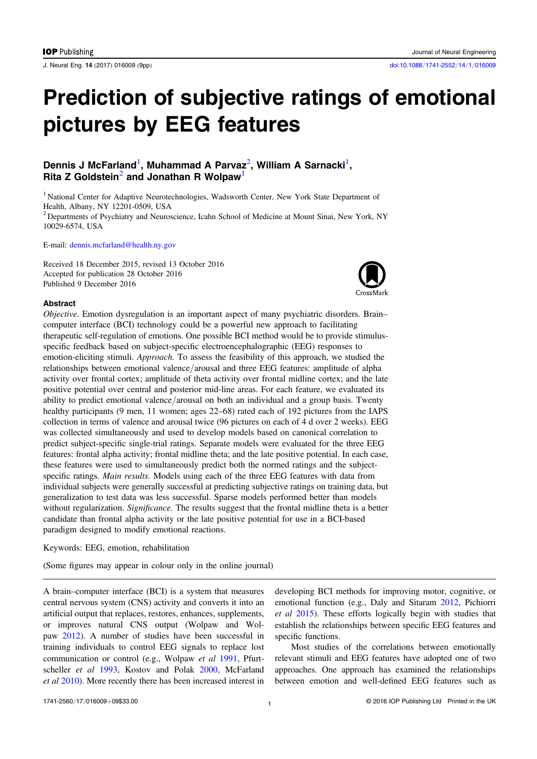J. Neural Eng. 14 (2017) 016009 (9pp) [doi:10.1088](http://dx.doi.org/10.1088/1741-2552/14/1/016009)/1741-2552/14/1/016009

## Journal of Neural Engineering

# Prediction of subjective ratings of emotional pictures by EEG features

### Dennis J McFarland<sup>[1](#page-1-0)</sup>, Muhammad A Parvaz<sup>[2](#page-1-1)</sup>, William A Sarnacki<sup>1</sup>, Rita Z Goldstein<sup>[2](#page-1-1)</sup> and Jonathan R Wolpaw<sup>[1](#page-1-0)</sup>

<span id="page-1-1"></span><span id="page-1-0"></span><sup>1</sup> National Center for Adaptive Neurotechnologies, Wadsworth Center, New York State Department of Health, Albany, NY 12201-0509, USA <sup>2</sup> Departments of Psychiatry and Neuroscience, Icahn School of Medicine at Mount Sinai, New York, NY 10029-6574, USA

E-mail: [dennis.mcfarland@health.ny.gov](mailto:dennis.mcfarland@health.ny.gov)

Received 18 December 2015, revised 13 October 2016 Accepted for publication 28 October 2016 Published 9 December 2016



#### Abstract

Objective. Emotion dysregulation is an important aspect of many psychiatric disorders. Brain– computer interface (BCI) technology could be a powerful new approach to facilitating therapeutic self-regulation of emotions. One possible BCI method would be to provide stimulusspecific feedback based on subject-specific electroencephalographic (EEG) responses to emotion-eliciting stimuli. Approach. To assess the feasibility of this approach, we studied the relationships between emotional valence/arousal and three EEG features: amplitude of alpha activity over frontal cortex; amplitude of theta activity over frontal midline cortex; and the late positive potential over central and posterior mid-line areas. For each feature, we evaluated its ability to predict emotional valence/arousal on both an individual and a group basis. Twenty healthy participants (9 men, 11 women; ages 22–68) rated each of 192 pictures from the IAPS collection in terms of valence and arousal twice (96 pictures on each of 4 d over 2 weeks). EEG was collected simultaneously and used to develop models based on canonical correlation to predict subject-specific single-trial ratings. Separate models were evaluated for the three EEG features: frontal alpha activity; frontal midline theta; and the late positive potential. In each case, these features were used to simultaneously predict both the normed ratings and the subjectspecific ratings. *Main results*. Models using each of the three EEG features with data from individual subjects were generally successful at predicting subjective ratings on training data, but generalization to test data was less successful. Sparse models performed better than models without regularization. Significance. The results suggest that the frontal midline theta is a better candidate than frontal alpha activity or the late positive potential for use in a BCI-based paradigm designed to modify emotional reactions.

#### Keywords: EEG, emotion, rehabilitation

(Some figures may appear in colour only in the online journal)

A brain–computer interface (BCI) is a system that measures central nervous system (CNS) activity and converts it into an artificial output that replaces, restores, enhances, supplements, or improves natural CNS output (Wolpaw and Wolpaw [2012](#page-9-0)). A number of studies have been successful in training individuals to control EEG signals to replace lost communication or control (e.g., Wolpaw et al [1991](#page-9-1), Pfurt-scheller et al [1993](#page-8-0), Kostov and Polak [2000](#page-8-1), McFarland et al [2010](#page-8-2)). More recently there has been increased interest in developing BCI methods for improving motor, cognitive, or emotional function (e.g., Daly and Sitaram [2012,](#page-8-3) Pichiorri et al [2015](#page-8-4)). These efforts logically begin with studies that establish the relationships between specific EEG features and specific functions.

Most studies of the correlations between emotionally relevant stimuli and EEG features have adopted one of two approaches. One approach has examined the relationships between emotion and well-defined EEG features such as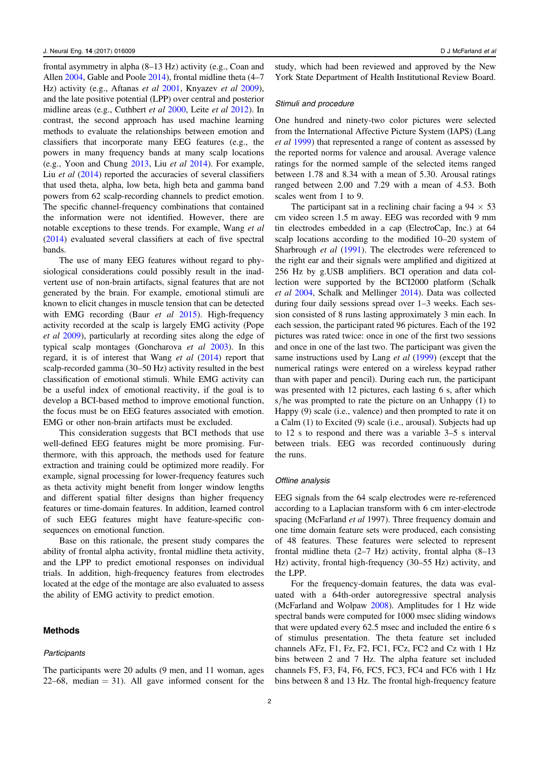frontal asymmetry in alpha (8–13 Hz) activity (e.g., Coan and Allen [2004](#page-8-5), Gable and Poole [2014](#page-8-6)), frontal midline theta (4–7 Hz) activity (e.g., Aftanas et al [2001,](#page-8-7) Knyazev et al [2009](#page-8-8)), and the late positive potential (LPP) over central and posterior midline areas (e.g., Cuthbert et al [2000](#page-8-9), Leite et al [2012](#page-8-10)). In contrast, the second approach has used machine learning methods to evaluate the relationships between emotion and classifiers that incorporate many EEG features (e.g., the powers in many frequency bands at many scalp locations (e.g., Yoon and Chung [2013](#page-9-2), Liu et al [2014](#page-8-11)). For example, Liu *et al* ([2014](#page-8-11)) reported the accuracies of several classifiers that used theta, alpha, low beta, high beta and gamma band powers from 62 scalp-recording channels to predict emotion. The specific channel-frequency combinations that contained the information were not identified. However, there are notable exceptions to these trends. For example, Wang et al ([2014](#page-9-3)) evaluated several classifiers at each of five spectral bands.

The use of many EEG features without regard to physiological considerations could possibly result in the inadvertent use of non-brain artifacts, signal features that are not generated by the brain. For example, emotional stimuli are known to elicit changes in muscle tension that can be detected with EMG recording (Baur et al [2015](#page-8-12)). High-frequency activity recorded at the scalp is largely EMG activity (Pope et al [2009](#page-8-13)), particularly at recording sites along the edge of typical scalp montages (Goncharova et al [2003](#page-8-14)). In this regard, it is of interest that Wang et al ([2014](#page-9-3)) report that scalp-recorded gamma (30–50 Hz) activity resulted in the best classification of emotional stimuli. While EMG activity can be a useful index of emotional reactivity, if the goal is to develop a BCI-based method to improve emotional function, the focus must be on EEG features associated with emotion. EMG or other non-brain artifacts must be excluded.

This consideration suggests that BCI methods that use well-defined EEG features might be more promising. Furthermore, with this approach, the methods used for feature extraction and training could be optimized more readily. For example, signal processing for lower-frequency features such as theta activity might benefit from longer window lengths and different spatial filter designs than higher frequency features or time-domain features. In addition, learned control of such EEG features might have feature-specific consequences on emotional function.

Base on this rationale, the present study compares the ability of frontal alpha activity, frontal midline theta activity, and the LPP to predict emotional responses on individual trials. In addition, high-frequency features from electrodes located at the edge of the montage are also evaluated to assess the ability of EMG activity to predict emotion.

#### Methods

#### **Participants**

study, which had been reviewed and approved by the New York State Department of Health Institutional Review Board.

#### Stimuli and procedure

One hundred and ninety-two color pictures were selected from the International Affective Picture System (IAPS) (Lang et al [1999](#page-8-15)) that represented a range of content as assessed by the reported norms for valence and arousal. Average valence ratings for the normed sample of the selected items ranged between 1.78 and 8.34 with a mean of 5.30. Arousal ratings ranged between 2.00 and 7.29 with a mean of 4.53. Both scales went from 1 to 9.

The participant sat in a reclining chair facing a  $94 \times 53$ cm video screen 1.5 m away. EEG was recorded with 9 mm tin electrodes embedded in a cap (ElectroCap, Inc.) at 64 scalp locations according to the modified 10–20 system of Sharbrough et al ([1991](#page-9-4)). The electrodes were referenced to the right ear and their signals were amplified and digitized at 256 Hz by g.USB amplifiers. BCI operation and data collection were supported by the BCI2000 platform (Schalk et al [2004,](#page-8-16) Schalk and Mellinger [2014](#page-8-17)). Data was collected during four daily sessions spread over 1–3 weeks. Each session consisted of 8 runs lasting approximately 3 min each. In each session, the participant rated 96 pictures. Each of the 192 pictures was rated twice: once in one of the first two sessions and once in one of the last two. The participant was given the same instructions used by Lang et al ([1999](#page-8-15)) (except that the numerical ratings were entered on a wireless keypad rather than with paper and pencil). During each run, the participant was presented with 12 pictures, each lasting 6 s, after which s/he was prompted to rate the picture on an Unhappy (1) to Happy (9) scale (i.e., valence) and then prompted to rate it on a Calm (1) to Excited (9) scale (i.e., arousal). Subjects had up to 12 s to respond and there was a variable 3–5 s interval between trials. EEG was recorded continuously during the runs.

#### Offline analysis

EEG signals from the 64 scalp electrodes were re-referenced according to a Laplacian transform with 6 cm inter-electrode spacing (McFarland et al 1997). Three frequency domain and one time domain feature sets were produced, each consisting of 48 features. These features were selected to represent frontal midline theta (2–7 Hz) activity, frontal alpha (8–13 Hz) activity, frontal high-frequency (30–55 Hz) activity, and the LPP.

For the frequency-domain features, the data was evaluated with a 64th-order autoregressive spectral analysis (McFarland and Wolpaw [2008](#page-8-18)). Amplitudes for 1 Hz wide spectral bands were computed for 1000 msec sliding windows that were updated every 62.5 msec and included the entire 6 s of stimulus presentation. The theta feature set included channels AFz, F1, Fz, F2, FC1, FCz, FC2 and Cz with 1 Hz bins between 2 and 7 Hz. The alpha feature set included channels F5, F3, F4, F6, FC5, FC3, FC4 and FC6 with 1 Hz bins between 8 and 13 Hz. The frontal high-frequency feature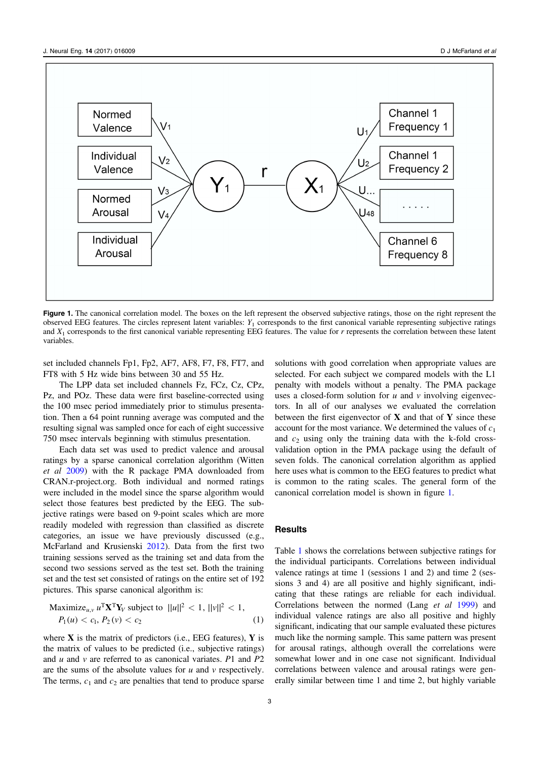<span id="page-3-0"></span>

Figure 1. The canonical correlation model. The boxes on the left represent the observed subjective ratings, those on the right represent the observed EEG features. The circles represent latent variables:  $Y_1$  corresponds to the first canonical variable representing subjective ratings and  $X_1$  corresponds to the first canonical variable representing EEG features. The value for r represents the correlation between these latent variables.

set included channels Fp1, Fp2, AF7, AF8, F7, F8, FT7, and FT8 with 5 Hz wide bins between 30 and 55 Hz.

The LPP data set included channels Fz, FCz, Cz, CPz, Pz, and POz. These data were first baseline-corrected using the 100 msec period immediately prior to stimulus presentation. Then a 64 point running average was computed and the resulting signal was sampled once for each of eight successive 750 msec intervals beginning with stimulus presentation.

Each data set was used to predict valence and arousal ratings by a sparse canonical correlation algorithm (Witten et al [2009](#page-9-5)) with the R package PMA downloaded from CRAN.r-project.org. Both individual and normed ratings were included in the model since the sparse algorithm would select those features best predicted by the EEG. The subjective ratings were based on 9-point scales which are more readily modeled with regression than classified as discrete categories, an issue we have previously discussed (e.g., McFarland and Krusienski [2012](#page-8-19)). Data from the first two training sessions served as the training set and data from the second two sessions served as the test set. Both the training set and the test set consisted of ratings on the entire set of 192 pictures. This sparse canonical algorithm is:

Maximize<sub>u,v</sub> 
$$
u^T \mathbf{X}^T \mathbf{Y}_V
$$
 subject to  $||u||^2 < 1$ ,  $||v||^2 < 1$ ,  
\n $P_1(u) < c_1, P_2(v) < c_2$  (1)

where  $X$  is the matrix of predictors (i.e., EEG features),  $Y$  is the matrix of values to be predicted (i.e., subjective ratings) and  $u$  and  $v$  are referred to as canonical variates.  $P1$  and  $P2$ are the sums of the absolute values for  $u$  and  $v$  respectively. The terms,  $c_1$  and  $c_2$  are penalties that tend to produce sparse solutions with good correlation when appropriate values are selected. For each subject we compared models with the L1 penalty with models without a penalty. The PMA package uses a closed-form solution for  $u$  and  $v$  involving eigenvectors. In all of our analyses we evaluated the correlation between the first eigenvector of  $X$  and that of  $Y$  since these account for the most variance. We determined the values of  $c_1$ and  $c_2$  using only the training data with the k-fold crossvalidation option in the PMA package using the default of seven folds. The canonical correlation algorithm as applied here uses what is common to the EEG features to predict what is common to the rating scales. The general form of the canonical correlation model is shown in figure [1](#page-3-0).

#### **Results**

Table [1](#page-4-0) shows the correlations between subjective ratings for the individual participants. Correlations between individual valence ratings at time 1 (sessions 1 and 2) and time 2 (sessions 3 and 4) are all positive and highly significant, indicating that these ratings are reliable for each individual. Correlations between the normed (Lang et al [1999](#page-8-15)) and individual valence ratings are also all positive and highly significant, indicating that our sample evaluated these pictures much like the norming sample. This same pattern was present for arousal ratings, although overall the correlations were somewhat lower and in one case not significant. Individual correlations between valence and arousal ratings were generally similar between time 1 and time 2, but highly variable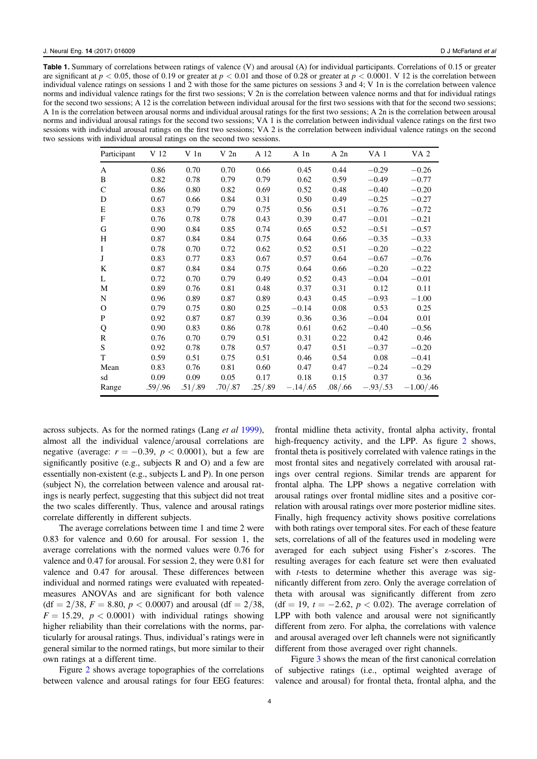<span id="page-4-0"></span>

| Participant  | V 12    | $V_1$   | $V_2$ n | A 12    | $A$ 1n     | $A$ 2n  | VA 1       | VA 2         |
|--------------|---------|---------|---------|---------|------------|---------|------------|--------------|
| A            | 0.86    | 0.70    | 0.70    | 0.66    | 0.45       | 0.44    | $-0.29$    | $-0.26$      |
| B            | 0.82    | 0.78    | 0.79    | 0.79    | 0.62       | 0.59    | $-0.49$    | $-0.77$      |
| C            | 0.86    | 0.80    | 0.82    | 0.69    | 0.52       | 0.48    | $-0.40$    | $-0.20$      |
| D            | 0.67    | 0.66    | 0.84    | 0.31    | 0.50       | 0.49    | $-0.25$    | $-0.27$      |
| Ε            | 0.83    | 0.79    | 0.79    | 0.75    | 0.56       | 0.51    | $-0.76$    | $-0.72$      |
| $\mathbf F$  | 0.76    | 0.78    | 0.78    | 0.43    | 0.39       | 0.47    | $-0.01$    | $-0.21$      |
| G            | 0.90    | 0.84    | 0.85    | 0.74    | 0.65       | 0.52    | $-0.51$    | $-0.57$      |
| H            | 0.87    | 0.84    | 0.84    | 0.75    | 0.64       | 0.66    | $-0.35$    | $-0.33$      |
| Ι            | 0.78    | 0.70    | 0.72    | 0.62    | 0.52       | 0.51    | $-0.20$    | $-0.22$      |
| J            | 0.83    | 0.77    | 0.83    | 0.67    | 0.57       | 0.64    | $-0.67$    | $-0.76$      |
| K            | 0.87    | 0.84    | 0.84    | 0.75    | 0.64       | 0.66    | $-0.20$    | $-0.22$      |
| L            | 0.72    | 0.70    | 0.79    | 0.49    | 0.52       | 0.43    | $-0.04$    | $-0.01$      |
| M            | 0.89    | 0.76    | 0.81    | 0.48    | 0.37       | 0.31    | 0.12       | 0.11         |
| N            | 0.96    | 0.89    | 0.87    | 0.89    | 0.43       | 0.45    | $-0.93$    | $-1.00$      |
| 0            | 0.79    | 0.75    | 0.80    | 0.25    | $-0.14$    | 0.08    | 0.53       | 0.25         |
| $\mathbf{P}$ | 0.92    | 0.87    | 0.87    | 0.39    | 0.36       | 0.36    | $-0.04$    | 0.01         |
| Q            | 0.90    | 0.83    | 0.86    | 0.78    | 0.61       | 0.62    | $-0.40$    | $-0.56$      |
| R            | 0.76    | 0.70    | 0.79    | 0.51    | 0.31       | 0.22    | 0.42       | 0.46         |
| S            | 0.92    | 0.78    | 0.78    | 0.57    | 0.47       | 0.51    | $-0.37$    | $-0.20$      |
| T            | 0.59    | 0.51    | 0.75    | 0.51    | 0.46       | 0.54    | 0.08       | $-0.41$      |
| Mean         | 0.83    | 0.76    | 0.81    | 0.60    | 0.47       | 0.47    | $-0.24$    | $-0.29$      |
| sd           | 0.09    | 0.09    | 0.05    | 0.17    | 0.18       | 0.15    | 0.37       | 0.36         |
| Range        | .59/.96 | .51/.89 | .70/.87 | .25/.89 | $-.14/.65$ | .08/.66 | $-.93/.53$ | $-1.00/0.46$ |

across subjects. As for the normed ratings (Lang et al [1999](#page-8-15)), almost all the individual valence/arousal correlations are negative (average:  $r = -0.39$ ,  $p < 0.0001$ ), but a few are significantly positive (e.g., subjects R and O) and a few are essentially non-existent (e.g., subjects L and P). In one person (subject N), the correlation between valence and arousal ratings is nearly perfect, suggesting that this subject did not treat the two scales differently. Thus, valence and arousal ratings correlate differently in different subjects.

The average correlations between time 1 and time 2 were 0.83 for valence and 0.60 for arousal. For session 1, the average correlations with the normed values were 0.76 for valence and 0.47 for arousal. For session 2, they were 0.81 for valence and 0.47 for arousal. These differences between individual and normed ratings were evaluated with repeatedmeasures ANOVAs and are significant for both valence  $(df = 2/38, F = 8.80, p < 0.0007)$  and arousal  $(df = 2/38, F = 8.80, p < 0.0007)$  $F = 15.29$ ,  $p < 0.0001$ ) with individual ratings showing higher reliability than their correlations with the norms, particularly for arousal ratings. Thus, individual's ratings were in general similar to the normed ratings, but more similar to their own ratings at a different time.

Figure [2](#page-5-0) shows average topographies of the correlations between valence and arousal ratings for four EEG features: frontal midline theta activity, frontal alpha activity, frontal high-frequency activity, and the LPP. As figure [2](#page-5-0) shows, frontal theta is positively correlated with valence ratings in the most frontal sites and negatively correlated with arousal ratings over central regions. Similar trends are apparent for frontal alpha. The LPP shows a negative correlation with arousal ratings over frontal midline sites and a positive correlation with arousal ratings over more posterior midline sites. Finally, high frequency activity shows positive correlations with both ratings over temporal sites. For each of these feature sets, correlations of all of the features used in modeling were averaged for each subject using Fisher's z-scores. The resulting averages for each feature set were then evaluated with *t*-tests to determine whether this average was significantly different from zero. Only the average correlation of theta with arousal was significantly different from zero (df = 19,  $t = -2.62$ ,  $p < 0.02$ ). The average correlation of LPP with both valence and arousal were not significantly different from zero. For alpha, the correlations with valence and arousal averaged over left channels were not significantly different from those averaged over right channels.

Figure [3](#page-5-1) shows the mean of the first canonical correlation of subjective ratings (i.e., optimal weighted average of valence and arousal) for frontal theta, frontal alpha, and the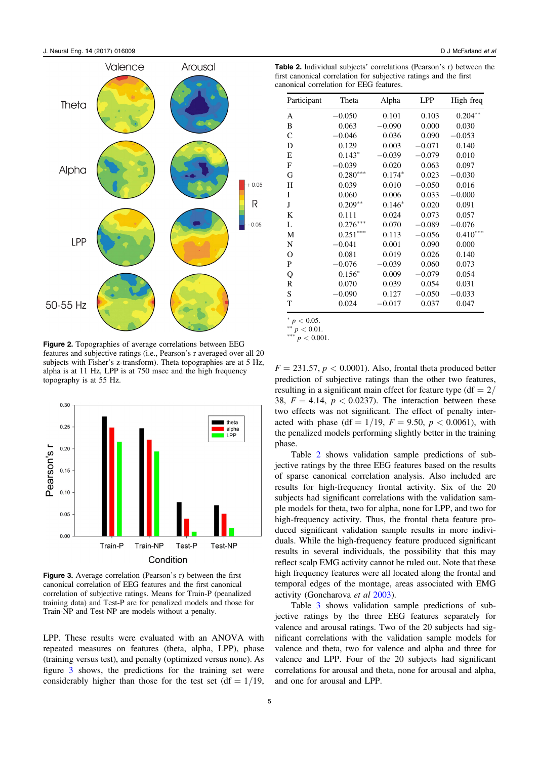<span id="page-5-0"></span>

Figure 2. Topographies of average correlations between EEG features and subjective ratings (i.e., Pearson's r averaged over all 20 subjects with Fisher's z-transform). Theta topographies are at 5 Hz, alpha is at 11 Hz, LPP is at 750 msec and the high frequency topography is at 55 Hz.

<span id="page-5-1"></span>

Figure 3. Average correlation (Pearson's r) between the first canonical correlation of EEG features and the first canonical correlation of subjective ratings. Means for Train-P (peanalized training data) and Test-P are for penalized models and those for Train-NP and Test-NP are models without a penalty.

LPP. These results were evaluated with an ANOVA with repeated measures on features (theta, alpha, LPP), phase (training versus test), and penalty (optimized versus none). As figure [3](#page-5-1) shows, the predictions for the training set were considerably higher than those for the test set (df =  $1/19$ ,

<span id="page-5-2"></span>Table 2. Individual subjects' correlations (Pearson's r) between the first canonical correlation for subjective ratings and the first canonical correlation for EEG features.

| Participant | Theta      | Alpha    | <b>LPP</b> | High freq  |
|-------------|------------|----------|------------|------------|
| A           | $-0.050$   | 0.101    | 0.103      | $0.204***$ |
| B           | 0.063      | 0.090    | 0.000      | 0.030      |
| C           | $-0.046$   | 0.036    | 0.090      | 0.053      |
| D           | 0.129      | 0.003    | $-0.071$   | 0.140      |
| Е           | $0.143*$   | $-0.039$ | $-0.079$   | 0.010      |
| F           | $-0.039$   | 0.020    | 0.063      | 0.097      |
| G           | $0.280***$ | $0.174*$ | 0.023      | $-0.030$   |
| H           | 0.039      | 0.010    | $-0.050$   | 0.016      |
| I           | 0.060      | 0.006    | 0.033      | $-0.000$   |
| J           | $0.209***$ | $0.146*$ | 0.020      | 0.091      |
| K           | 0.111      | 0.024    | 0.073      | 0.057      |
| L           | $0.276***$ | 0.070    | $-0.089$   | $-0.076$   |
| М           | $0.251***$ | 0.113    | $-0.056$   | $0.410***$ |
| N           | $-0.041$   | 0.001    | 0.090      | 0.000      |
| О           | 0.081      | 0.019    | 0.026      | 0.140      |
| P           | $-0.076$   | $-0.039$ | 0.060      | 0.073      |
| Q           | $0.156*$   | 0.009    | $-0.079$   | 0.054      |
| R           | 0.070      | 0.039    | 0.054      | 0.031      |
| S           | $-0.090$   | 0.127    | $-0.050$   | 0.033      |
| T           | 0.024      | $-0.017$ | 0.037      | 0.047      |

$$
p < 0.05.
$$

 $p < 0.01.$ <br>\*  $p < 0.001.$ 

 $F = 231.57$ ,  $p < 0.0001$ ). Also, frontal theta produced better prediction of subjective ratings than the other two features, resulting in a significant main effect for feature type  $df = 2/$ 38,  $F = 4.14$ ,  $p < 0.0237$ ). The interaction between these two effects was not significant. The effect of penalty interacted with phase (df =  $1/19$ ,  $F = 9.50$ ,  $p < 0.0061$ ), with the penalized models performing slightly better in the training phase.

Table [2](#page-5-2) shows validation sample predictions of subjective ratings by the three EEG features based on the results of sparse canonical correlation analysis. Also included are results for high-frequency frontal activity. Six of the 20 subjects had significant correlations with the validation sample models for theta, two for alpha, none for LPP, and two for high-frequency activity. Thus, the frontal theta feature produced significant validation sample results in more individuals. While the high-frequency feature produced significant results in several individuals, the possibility that this may reflect scalp EMG activity cannot be ruled out. Note that these high frequency features were all located along the frontal and temporal edges of the montage, areas associated with EMG activity (Goncharova et al [2003](#page-8-14)).

Table [3](#page-6-0) shows validation sample predictions of subjective ratings by the three EEG features separately for valence and arousal ratings. Two of the 20 subjects had significant correlations with the validation sample models for valence and theta, two for valence and alpha and three for valence and LPP. Four of the 20 subjects had significant correlations for arousal and theta, none for arousal and alpha, and one for arousal and LPP.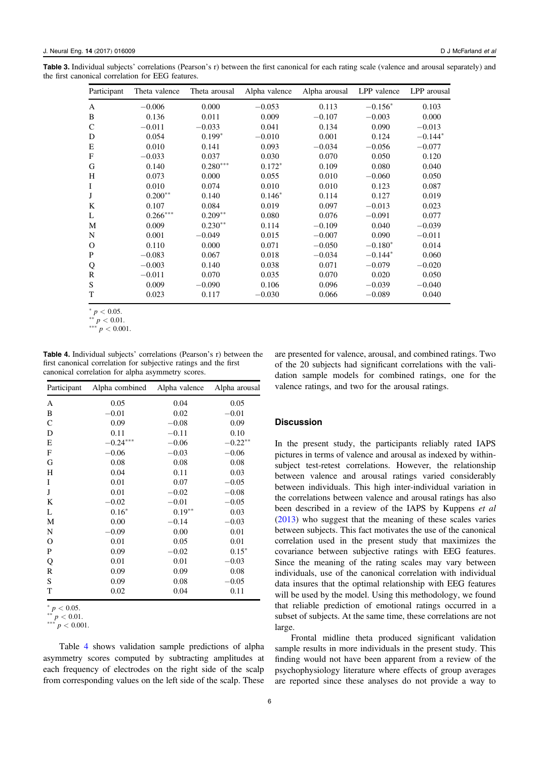<span id="page-6-0"></span>Table 3. Individual subjects' correlations (Pearson's r) between the first canonical for each rating scale (valence and arousal separately) and the first canonical correlation for EEG features.

| Participant  | Theta valence | Theta arousal | Alpha valence | Alpha arousal | LPP valence | LPP arousal |
|--------------|---------------|---------------|---------------|---------------|-------------|-------------|
| A            | $-0.006$      | 0.000         | $-0.053$      | 0.113         | $-0.156*$   | 0.103       |
| B            | 0.136         | 0.011         | 0.009         | $-0.107$      | $-0.003$    | 0.000       |
| $\mathsf{C}$ | $-0.011$      | $-0.033$      | 0.041         | 0.134         | 0.090       | $-0.013$    |
| D            | 0.054         | $0.199*$      | $-0.010$      | 0.001         | 0.124       | $-0.144*$   |
| Е            | 0.010         | 0.141         | 0.093         | $-0.034$      | $-0.056$    | $-0.077$    |
| F            | $-0.033$      | 0.037         | 0.030         | 0.070         | 0.050       | 0.120       |
| G            | 0.140         | $0.280***$    | $0.172*$      | 0.109         | 0.080       | 0.040       |
| H            | 0.073         | 0.000         | 0.055         | 0.010         | $-0.060$    | 0.050       |
| Ι            | 0.010         | 0.074         | 0.010         | 0.010         | 0.123       | 0.087       |
| J            | $0.200**$     | 0.140         | $0.146*$      | 0.114         | 0.127       | 0.019       |
| K            | 0.107         | 0.084         | 0.019         | 0.097         | $-0.013$    | 0.023       |
| L            | $0.266***$    | $0.209**$     | 0.080         | 0.076         | $-0.091$    | 0.077       |
| M            | 0.009         | $0.230**$     | 0.114         | $-0.109$      | 0.040       | $-0.039$    |
| N            | 0.001         | $-0.049$      | 0.015         | $-0.007$      | 0.090       | $-0.011$    |
| $\Omega$     | 0.110         | 0.000         | 0.071         | $-0.050$      | $-0.180*$   | 0.014       |
| P            | $-0.083$      | 0.067         | 0.018         | $-0.034$      | $-0.144*$   | 0.060       |
| Q            | $-0.003$      | 0.140         | 0.038         | 0.071         | $-0.079$    | $-0.020$    |
| $\mathbb{R}$ | $-0.011$      | 0.070         | 0.035         | 0.070         | 0.020       | 0.050       |
| S            | 0.009         | $-0.090$      | 0.106         | 0.096         | $-0.039$    | $-0.040$    |
| T            | 0.023         | 0.117         | $-0.030$      | 0.066         | $-0.089$    | 0.040       |

<span id="page-6-1"></span>Table 4. Individual subjects' correlations (Pearson's r) between the first canonical correlation for subjective ratings and the first canonical correlation for alpha asymmetry scores.

| Participant  | Alpha combined | Alpha valence | Alpha arousal |
|--------------|----------------|---------------|---------------|
| A            | 0.05           | 0.04          | 0.05          |
| B            | $-0.01$        | 0.02          | $-0.01$       |
| $\mathsf{C}$ | 0.09           | $-0.08$       | 0.09          |
| D            | 0.11           | $-0.11$       | 0.10          |
| E            | $-0.24***$     | $-0.06$       | $-0.22***$    |
| F            | $-0.06$        | $-0.03$       | $-0.06$       |
| G            | 0.08           | 0.08          | 0.08          |
| Н            | 0.04           | 0.11          | 0.03          |
| Ι            | 0.01           | 0.07          | $-0.05$       |
| J            | 0.01           | $-0.02$       | $-0.08$       |
| K            | $-0.02$        | $-0.01$       | $-0.05$       |
| L            | $0.16*$        | $0.19***$     | 0.03          |
| М            | 0.00           | $-0.14$       | $-0.03$       |
| N            | $-0.09$        | 0.00          | 0.01          |
| O            | 0.01           | 0.05          | 0.01          |
| P            | 0.09           | $-0.02$       | $0.15*$       |
| Q            | 0.01           | 0.01          | $-0.03$       |
| R            | 0.09           | 0.09          | 0.08          |
| S            | 0.09           | 0.08          | $-0.05$       |
| T            | 0.02           | 0.04          | 0.11          |

 $* p < 0.05$ .<br>  $* * p < 0.01$ .<br>  $* * p < 0.001$ .

Table [4](#page-6-1) shows validation sample predictions of alpha asymmetry scores computed by subtracting amplitudes at each frequency of electrodes on the right side of the scalp from corresponding values on the left side of the scalp. These are presented for valence, arousal, and combined ratings. Two of the 20 subjects had significant correlations with the validation sample models for combined ratings, one for the valence ratings, and two for the arousal ratings.

#### **Discussion**

In the present study, the participants reliably rated IAPS pictures in terms of valence and arousal as indexed by withinsubject test-retest correlations. However, the relationship between valence and arousal ratings varied considerably between individuals. This high inter-individual variation in the correlations between valence and arousal ratings has also been described in a review of the IAPS by Kuppens et al ([2013](#page-8-20)) who suggest that the meaning of these scales varies between subjects. This fact motivates the use of the canonical correlation used in the present study that maximizes the covariance between subjective ratings with EEG features. Since the meaning of the rating scales may vary between individuals, use of the canonical correlation with individual data insures that the optimal relationship with EEG features will be used by the model. Using this methodology, we found that reliable prediction of emotional ratings occurred in a subset of subjects. At the same time, these correlations are not large.

Frontal midline theta produced significant validation sample results in more individuals in the present study. This finding would not have been apparent from a review of the psychophysiology literature where effects of group averages are reported since these analyses do not provide a way to

 $* p < 0.05$ .<br>
\*\*  $p < 0.01$ .<br>
\*\*\*  $p < 0.001$ .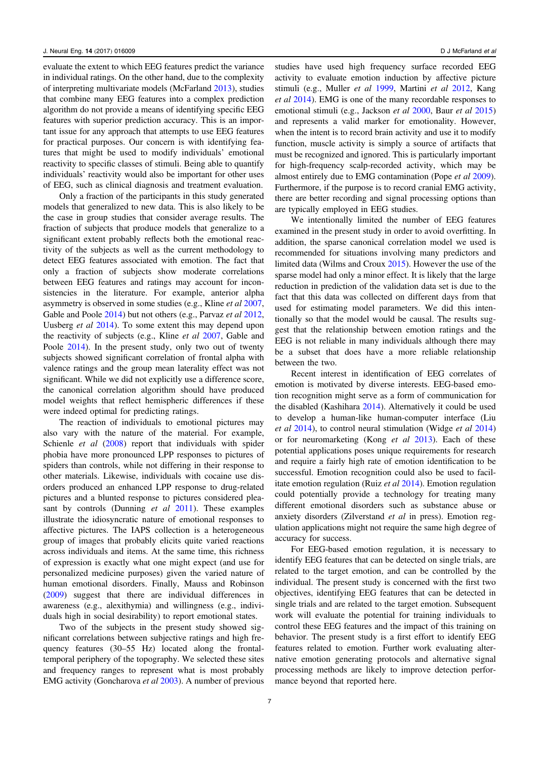evaluate the extent to which EEG features predict the variance in individual ratings. On the other hand, due to the complexity of interpreting multivariate models (McFarland [2013](#page-8-21)), studies that combine many EEG features into a complex prediction algorithm do not provide a means of identifying specific EEG features with superior prediction accuracy. This is an important issue for any approach that attempts to use EEG features for practical purposes. Our concern is with identifying features that might be used to modify individuals' emotional reactivity to specific classes of stimuli. Being able to quantify individuals' reactivity would also be important for other uses of EEG, such as clinical diagnosis and treatment evaluation.

Only a fraction of the participants in this study generated models that generalized to new data. This is also likely to be the case in group studies that consider average results. The fraction of subjects that produce models that generalize to a significant extent probably reflects both the emotional reactivity of the subjects as well as the current methodology to detect EEG features associated with emotion. The fact that only a fraction of subjects show moderate correlations between EEG features and ratings may account for inconsistencies in the literature. For example, anterior alpha asymmetry is observed in some studies (e.g., Kline et al [2007](#page-8-22), Gable and Poole [2014](#page-8-6)) but not others (e.g., Parvaz et al [2012](#page-8-23), Uusberg et al [2014](#page-9-6)). To some extent this may depend upon the reactivity of subjects (e.g., Kline et al [2007,](#page-8-22) Gable and Poole [2014](#page-8-6)). In the present study, only two out of twenty subjects showed significant correlation of frontal alpha with valence ratings and the group mean laterality effect was not significant. While we did not explicitly use a difference score, the canonical correlation algorithm should have produced model weights that reflect hemispheric differences if these were indeed optimal for predicting ratings.

The reaction of individuals to emotional pictures may also vary with the nature of the material. For example, Schienle *et al* ([2008](#page-8-24)) report that individuals with spider phobia have more pronounced LPP responses to pictures of spiders than controls, while not differing in their response to other materials. Likewise, individuals with cocaine use disorders produced an enhanced LPP response to drug-related pictures and a blunted response to pictures considered pleasant by controls (Dunning *et al* [2011](#page-8-25)). These examples illustrate the idiosyncratic nature of emotional responses to affective pictures. The IAPS collection is a heterogeneous group of images that probably elicits quite varied reactions across individuals and items. At the same time, this richness of expression is exactly what one might expect (and use for personalized medicine purposes) given the varied nature of human emotional disorders. Finally, Mauss and Robinson ([2009](#page-8-26)) suggest that there are individual differences in awareness (e.g., alexithymia) and willingness (e.g., individuals high in social desirability) to report emotional states.

Two of the subjects in the present study showed significant correlations between subjective ratings and high frequency features (30–55 Hz) located along the frontaltemporal periphery of the topography. We selected these sites and frequency ranges to represent what is most probably EMG activity (Goncharova et al [2003](#page-8-14)). A number of previous studies have used high frequency surface recorded EEG activity to evaluate emotion induction by affective picture stimuli (e.g., Muller et al [1999](#page-8-27), Martini et al [2012](#page-8-28), Kang et al [2014](#page-8-29)). EMG is one of the many recordable responses to emotional stimuli (e.g., Jackson et al [2000](#page-8-30), Baur et al [2015](#page-8-12)) and represents a valid marker for emotionality. However, when the intent is to record brain activity and use it to modify function, muscle activity is simply a source of artifacts that must be recognized and ignored. This is particularly important for high-frequency scalp-recorded activity, which may be almost entirely due to EMG contamination (Pope et al [2009](#page-8-13)). Furthermore, if the purpose is to record cranial EMG activity, there are better recording and signal processing options than

We intentionally limited the number of EEG features examined in the present study in order to avoid overfitting. In addition, the sparse canonical correlation model we used is recommended for situations involving many predictors and limited data (Wilms and Croux [2015](#page-9-7)). However the use of the sparse model had only a minor effect. It is likely that the large reduction in prediction of the validation data set is due to the fact that this data was collected on different days from that used for estimating model parameters. We did this intentionally so that the model would be causal. The results suggest that the relationship between emotion ratings and the EEG is not reliable in many individuals although there may be a subset that does have a more reliable relationship between the two.

are typically employed in EEG studies.

Recent interest in identification of EEG correlates of emotion is motivated by diverse interests. EEG-based emotion recognition might serve as a form of communication for the disabled (Kashihara [2014](#page-8-31)). Alternatively it could be used to develop a human-like human-computer interface (Liu et al [2014](#page-8-11)), to control neural stimulation (Widge et al [2014](#page-9-8)) or for neuromarketing (Kong et al [2013](#page-8-32)). Each of these potential applications poses unique requirements for research and require a fairly high rate of emotion identification to be successful. Emotion recognition could also be used to facilitate emotion regulation (Ruiz et al [2014](#page-8-33)). Emotion regulation could potentially provide a technology for treating many different emotional disorders such as substance abuse or anxiety disorders (Zilverstand et al in press). Emotion regulation applications might not require the same high degree of accuracy for success.

For EEG-based emotion regulation, it is necessary to identify EEG features that can be detected on single trials, are related to the target emotion, and can be controlled by the individual. The present study is concerned with the first two objectives, identifying EEG features that can be detected in single trials and are related to the target emotion. Subsequent work will evaluate the potential for training individuals to control these EEG features and the impact of this training on behavior. The present study is a first effort to identify EEG features related to emotion. Further work evaluating alternative emotion generating protocols and alternative signal processing methods are likely to improve detection performance beyond that reported here.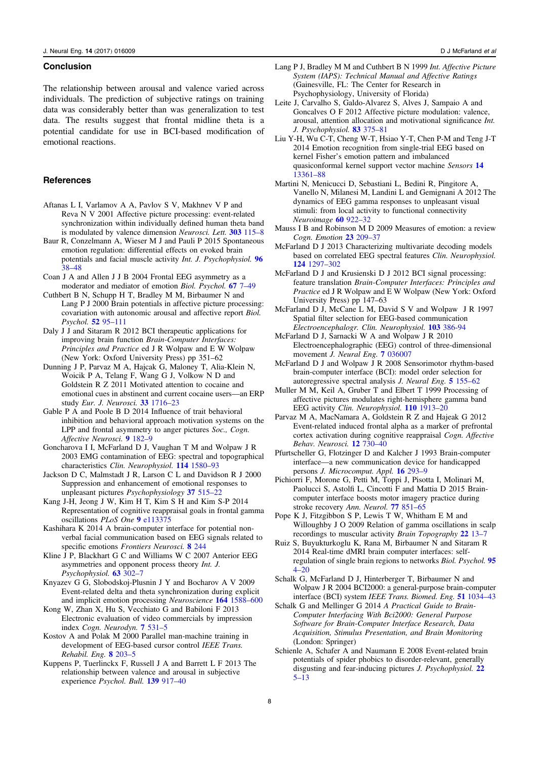#### Conclusion

The relationship between arousal and valence varied across individuals. The prediction of subjective ratings on training data was considerably better than was generalization to test data. The results suggest that frontal midline theta is a potential candidate for use in BCI-based modification of emotional reactions.

#### References

- <span id="page-8-7"></span>Aftanas L I, Varlamov A A, Pavlov S V, Makhnev V P and Reva N V 2001 Affective picture processing: event-related synchronization within individually defined human theta band is modulated by valence dimension Neurosci. Lett. 303 [115](http://dx.doi.org/10.1016/S0304-3940(01)01703-7)–8
- <span id="page-8-12"></span>Baur R, Conzelmann A, Wieser M J and Pauli P 2015 Spontaneous emotion regulation: differential effects on evoked brain potentials and facial muscle activity Int. J. Psychophysiol. [96](http://dx.doi.org/10.1016/j.ijpsycho.2015.02.022) [38](http://dx.doi.org/10.1016/j.ijpsycho.2015.02.022)–48
- <span id="page-8-5"></span>Coan J A and Allen J J B 2004 Frontal EEG asymmetry as a moderator and mediator of emotion Biol. Psychol. [67](http://dx.doi.org/10.1016/j.biopsycho.2004.03.002) 7–[49](http://dx.doi.org/10.1016/j.biopsycho.2004.03.002)
- <span id="page-8-9"></span>Cuthbert B N, Schupp H T, Bradley M M, Birbaumer N and Lang P J 2000 Brain potentials in affective picture processing: covariation with autonomic arousal and affective report Biol. Psychol. [52](http://dx.doi.org/10.1016/S0301-0511(99)00044-7) 95–[111](http://dx.doi.org/10.1016/S0301-0511(99)00044-7)
- <span id="page-8-3"></span>Daly J J and Sitaram R 2012 BCI therapeutic applications for improving brain function Brain-Computer Interfaces: Principles and Practice ed J R Wolpaw and E W Wolpaw (New York: Oxford University Press) pp 351–62
- <span id="page-8-25"></span>Dunning J P, Parvaz M A, Hajcak G, Maloney T, Alia-Klein N, Woicik P A, Telang F, Wang G J, Volkow N D and Goldstein R Z 2011 Motivated attention to cocaine and emotional cues in abstinent and current cocaine users—an ERP study Eur. J. Neurosci. 33 [1716](http://dx.doi.org/10.1111/j.1460-9568.2011.07663.x)–23
- <span id="page-8-6"></span>Gable P A and Poole B D 2014 Influence of trait behavioral inhibition and behavioral approach motivation systems on the LPP and frontal asymmetry to anger pictures Soc., Cogn. Affective Neurosci. 9 [182](http://dx.doi.org/10.1093/scan/nss130)–9
- <span id="page-8-14"></span>Goncharova I I, McFarland D J, Vaughan T M and Wolpaw J R 2003 EMG contamination of EEG: spectral and topographical characteristics Clin. Neurophysiol. 114 [1580](http://dx.doi.org/10.1016/S1388-2457(03)00093-2)–93
- <span id="page-8-30"></span>Jackson D C, Malmstadt J R, Larson C L and Davidson R J 2000 Suppression and enhancement of emotional responses to unpleasant pictures Psychophysiology 37 [515](http://dx.doi.org/10.1111/1469-8986.3740515)–22
- <span id="page-8-29"></span>Kang J-H, Jeong J W, Kim H T, Kim S H and Kim S-P 2014 Representation of cognitive reappraisal goals in frontal gamma oscillations PLoS One 9 [e113375](http://dx.doi.org/10.1371/journal.pone.0113375)
- <span id="page-8-31"></span>Kashihara K 2014 A brain-computer interface for potential nonverbal facial communication based on EEG signals related to specific emotions Frontiers Neurosci. 8 [244](http://dx.doi.org/10.3389/fnins.2014.00244)
- <span id="page-8-22"></span>Kline J P, Blackhart G C and Williams W C 2007 Anterior EEG asymmetries and opponent process theory Int. J. Psychophysiol. 63 [302](http://dx.doi.org/10.1016/j.ijpsycho.2006.12.003)–7
- <span id="page-8-8"></span>Knyazev G G, Slobodskoj-Plusnin J Y and Bocharov A V 2009 Event-related delta and theta synchronization during explicit and implicit emotion processing Neuroscience 164 [1588](http://dx.doi.org/10.1016/j.neuroscience.2009.09.057)–600
- <span id="page-8-32"></span>Kong W, Zhan X, Hu S, Vecchiato G and Babiloni F 2013 Electronic evaluation of video commercials by impression index Cogn. Neurodyn. 7 [531](http://dx.doi.org/10.1007/s11571-013-9255-z)–5
- <span id="page-8-1"></span>Kostov A and Polak M 2000 Parallel man-machine training in development of EEG-based cursor control IEEE Trans. Rehabil. Eng. 8 [203](http://dx.doi.org/10.1109/86.847816)–5
- <span id="page-8-20"></span>Kuppens P, Tuerlinckx F, Russell J A and Barrett L F 2013 The relationship between valence and arousal in subjective experience Psychol. Bull. 139 [917](http://dx.doi.org/10.1037/a0030811)–40
- <span id="page-8-15"></span>Lang P J, Bradley M M and Cuthbert B N 1999 Int. Affective Picture System (IAPS): Technical Manual and Affective Ratings (Gainesville, FL: The Center for Research in Psychophysiology, University of Florida)
- <span id="page-8-10"></span>Leite J, Carvalho S, Galdo-Alvarez S, Alves J, Sampaio A and Goncalves O F 2012 Affective picture modulation: valence, arousal, attention allocation and motivational significance Int. J. Psychophysiol. 83 [375](http://dx.doi.org/10.1016/j.ijpsycho.2011.12.005)–81
- <span id="page-8-11"></span>Liu Y-H, Wu C-T, Cheng W-T, Hsiao Y-T, Chen P-M and Teng J-T 2014 Emotion recognition from single-trial EEG based on kernel Fisher's emotion pattern and imbalanced quasiconformal kernel support vector machine Sensors [14](http://dx.doi.org/10.3390/s140813361) [13361](http://dx.doi.org/10.3390/s140813361)–88
- <span id="page-8-28"></span>Martini N, Menicucci D, Sebastiani L, Bedini R, Pingitore A, Vanello N, Milanesi M, Landini L and Gemignani A 2012 The dynamics of EEG gamma responses to unpleasant visual stimuli: from local activity to functional connectivity Neuroimage 60 [922](http://dx.doi.org/10.1016/j.neuroimage.2012.01.060)–32
- <span id="page-8-26"></span>Mauss I B and Robinson M D 2009 Measures of emotion: a review Cogn. Emotion 23 [209](http://dx.doi.org/10.1080/02699930802204677)–37
- <span id="page-8-21"></span>McFarland D J 2013 Characterizing multivariate decoding models based on correlated EEG spectral features Clin. Neurophysiol. 124 [1297](http://dx.doi.org/10.1016/j.clinph.2013.01.015)–302
- <span id="page-8-19"></span>McFarland D J and Krusienski D J 2012 BCI signal processing: feature translation Brain-Computer Interfaces: Principles and Practice ed J R Wolpaw and E W Wolpaw (New York: Oxford University Press) pp 147–63
- McFarland D J, McCane L M, David S V and Wolpaw J R 1997 Spatial filter selection for EEG-based communication Electroencephalogr. Clin. Neurophysiol. 103 [386-94](http://dx.doi.org/10.1016/S0013-4694(97)00022-2)
- <span id="page-8-2"></span>McFarland D J, Sarnacki W A and Wolpaw J R 2010 Electroencephalographic (EEG) control of three-dimensional movement J. Neural Eng. 7 [036007](http://dx.doi.org/10.1088/1741-2560/7/3/036007)
- <span id="page-8-18"></span>McFarland D J and Wolpaw J R 2008 Sensorimotor rhythm-based brain-computer interface (BCI): model order selection for autoregressive spectral analysis J. Neural Eng. 5 [155](http://dx.doi.org/10.1088/1741-2560/5/2/006)–62
- <span id="page-8-27"></span>Muller M M, Keil A, Gruber T and Elbert T 1999 Processing of affective pictures modulates right-hemisphere gamma band EEG activity Clin. Neurophysiol. 110 [1913](http://dx.doi.org/10.1016/S1388-2457(99)00151-0)–20
- <span id="page-8-23"></span>Parvaz M A, MacNamara A, Goldstein R Z and Hajeak G 2012 Event-related induced frontal alpha as a marker of prefrontal cortex activation during cognitive reappraisal Cogn. Affective Behav. Neurosci. 12 [730](http://dx.doi.org/10.3758/s13415-012-0107-9)–40
- <span id="page-8-0"></span>Pfurtscheller G, Flotzinger D and Kalcher J 1993 Brain-computer interface—a new communication device for handicapped persons J. Microcomput. Appl. 16 [293](http://dx.doi.org/10.1006/jmca.1993.1030)–9
- <span id="page-8-4"></span>Pichiorri F, Morone G, Petti M, Toppi J, Pisotta I, Molinari M, Paolucci S, Astolfi L, Cincotti F and Mattia D 2015 Braincomputer interface boosts motor imagery practice during stroke recovery Ann. Neurol. 77 [851](http://dx.doi.org/10.1002/ana.24390)-65
- <span id="page-8-13"></span>Pope K J, Fitzgibbon S P, Lewis T W, Whitham E M and Willoughby J O 2009 Relation of gamma oscillations in scalp recordings to muscular activity *Brain Topography* 22 [13](http://dx.doi.org/10.1007/s10548-009-0081-x)–7
- <span id="page-8-33"></span>Ruiz S, Buyukturkoglu K, Rana M, Birbaumer N and Sitaram R 2014 Real-time dMRI brain computer interfaces: selfregulation of single brain regions to networks Biol. Psychol. [95](http://dx.doi.org/10.1016/j.biopsycho.2013.04.010)  $4 - 20$  $4 - 20$  $4 - 20$
- <span id="page-8-16"></span>Schalk G, McFarland D J, Hinterberger T, Birbaumer N and Wolpaw J R 2004 BCI2000: a general-purpose brain-computer interface (BCI) system IEEE Trans. Biomed. Eng. 51 [1034](http://dx.doi.org/10.1109/TBME.2004.827072)–43
- <span id="page-8-17"></span>Schalk G and Mellinger G 2014 A Practical Guide to Brain-Computer Interfacing With Bci2000: General Purpose Software for Brain-Computer Interface Research, Data Acquisition, Stimulus Presentation, and Brain Monitoring (London: Springer)
- <span id="page-8-24"></span>Schienle A, Schafer A and Naumann E 2008 Event-related brain potentials of spider phobics to disorder-relevant, generally disgusting and fear-inducing pictures *J. Psychophysiol.* [22](http://dx.doi.org/10.1027/0269-8803.22.1.5) [5](http://dx.doi.org/10.1027/0269-8803.22.1.5)–[13](http://dx.doi.org/10.1027/0269-8803.22.1.5)